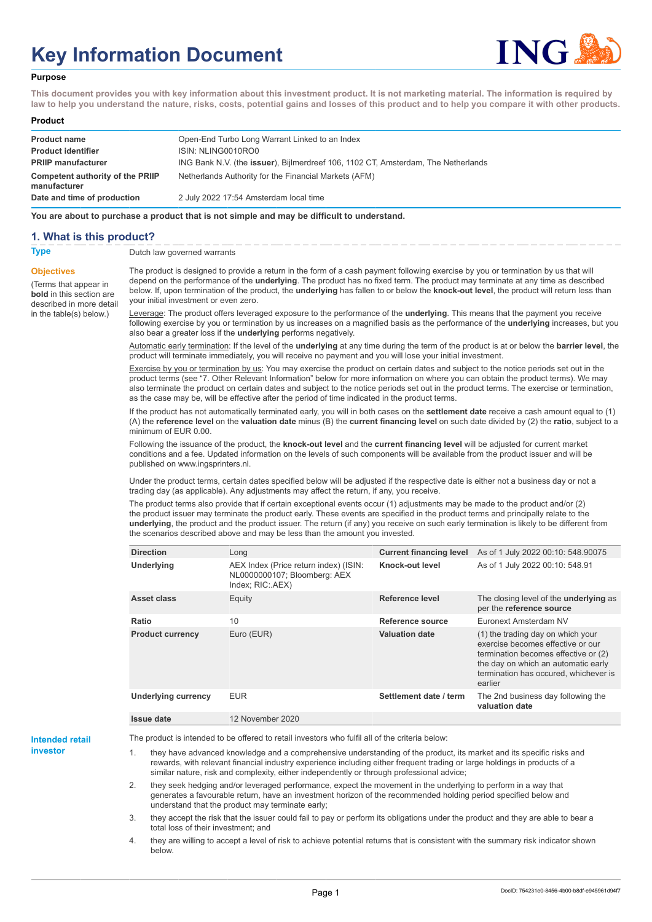# **Key Information Document**



#### **Purpose**

**This document provides you with key information about this investment product. It is not marketing material. The information is required by law to help you understand the nature, risks, costs, potential gains and losses of this product and to help you compare it with other products.**

#### **Product**

| <b>Product name</b>                              | Open-End Turbo Long Warrant Linked to an Index                                            |
|--------------------------------------------------|-------------------------------------------------------------------------------------------|
| <b>Product identifier</b>                        | ISIN: NLING0010RO0                                                                        |
| <b>PRIIP manufacturer</b>                        | ING Bank N.V. (the <b>issuer</b> ), Bijlmerdreef 106, 1102 CT, Amsterdam, The Netherlands |
| Competent authority of the PRIIP<br>manufacturer | Netherlands Authority for the Financial Markets (AFM)                                     |
| Date and time of production                      | 2 July 2022 17:54 Amsterdam local time                                                    |

**You are about to purchase a product that is not simple and may be difficult to understand.**

### **1. What is this product?**

**Objectives**

(Terms that appear in **bold** in this section are

in the table(s) below.)

**Type** Dutch law governed warrants

described in more detail The product is designed to provide a return in the form of a cash payment following exercise by you or termination by us that will depend on the performance of the **underlying**. The product has no fixed term. The product may terminate at any time as described below. If, upon termination of the product, the **underlying** has fallen to or below the **knock-out level**, the product will return less than your initial investment or even zero.

> Leverage: The product offers leveraged exposure to the performance of the **underlying**. This means that the payment you receive following exercise by you or termination by us increases on a magnified basis as the performance of the **underlying** increases, but you also bear a greater loss if the **underlying** performs negatively.

> Automatic early termination: If the level of the **underlying** at any time during the term of the product is at or below the **barrier level**, the product will terminate immediately, you will receive no payment and you will lose your initial investment.

> Exercise by you or termination by us: You may exercise the product on certain dates and subject to the notice periods set out in the product terms (see "7. Other Relevant Information" below for more information on where you can obtain the product terms). We may also terminate the product on certain dates and subject to the notice periods set out in the product terms. The exercise or termination, as the case may be, will be effective after the period of time indicated in the product terms.

> If the product has not automatically terminated early, you will in both cases on the **settlement date** receive a cash amount equal to (1) (A) the **reference level** on the **valuation date** minus (B) the **current financing level** on such date divided by (2) the **ratio**, subject to a minimum of EUR 0.00.

Following the issuance of the product, the **knock-out level** and the **current financing level** will be adjusted for current market conditions and a fee. Updated information on the levels of such components will be available from the product issuer and will be published on www.ingsprinters.nl.

Under the product terms, certain dates specified below will be adjusted if the respective date is either not a business day or not a trading day (as applicable). Any adjustments may affect the return, if any, you receive.

The product terms also provide that if certain exceptional events occur (1) adjustments may be made to the product and/or (2) the product issuer may terminate the product early. These events are specified in the product terms and principally relate to the **underlying**, the product and the product issuer. The return (if any) you receive on such early termination is likely to be different from the scenarios described above and may be less than the amount you invested.

| <b>Direction</b>           | Long                                                                                      | <b>Current financing level</b> | As of 1 July 2022 00:10: 548.90075                                                                                                                                                                        |
|----------------------------|-------------------------------------------------------------------------------------------|--------------------------------|-----------------------------------------------------------------------------------------------------------------------------------------------------------------------------------------------------------|
| <b>Underlying</b>          | AEX Index (Price return index) (ISIN:<br>NL0000000107; Bloomberg: AEX<br>Index; RIC: AEX) | Knock-out level                | As of 1 July 2022 00:10: 548.91                                                                                                                                                                           |
| Asset class                | Equity                                                                                    | Reference level                | The closing level of the <b>underlying</b> as<br>per the reference source                                                                                                                                 |
| Ratio                      | 10                                                                                        | Reference source               | Euronext Amsterdam NV                                                                                                                                                                                     |
| <b>Product currency</b>    | Euro (EUR)                                                                                | <b>Valuation date</b>          | (1) the trading day on which your<br>exercise becomes effective or our<br>termination becomes effective or (2)<br>the day on which an automatic early<br>termination has occured, whichever is<br>earlier |
| <b>Underlying currency</b> | <b>EUR</b>                                                                                | Settlement date / term         | The 2nd business day following the<br>valuation date                                                                                                                                                      |
| Issue date                 | 12 November 2020                                                                          |                                |                                                                                                                                                                                                           |

**Intended retail investor**

The product is intended to be offered to retail investors who fulfil all of the criteria below:

they have advanced knowledge and a comprehensive understanding of the product, its market and its specific risks and rewards, with relevant financial industry experience including either frequent trading or large holdings in products of a similar nature, risk and complexity, either independently or through professional advice;

2. they seek hedging and/or leveraged performance, expect the movement in the underlying to perform in a way that generates a favourable return, have an investment horizon of the recommended holding period specified below and understand that the product may terminate early;

3. they accept the risk that the issuer could fail to pay or perform its obligations under the product and they are able to bear a total loss of their investment; and

4. they are willing to accept a level of risk to achieve potential returns that is consistent with the summary risk indicator shown below.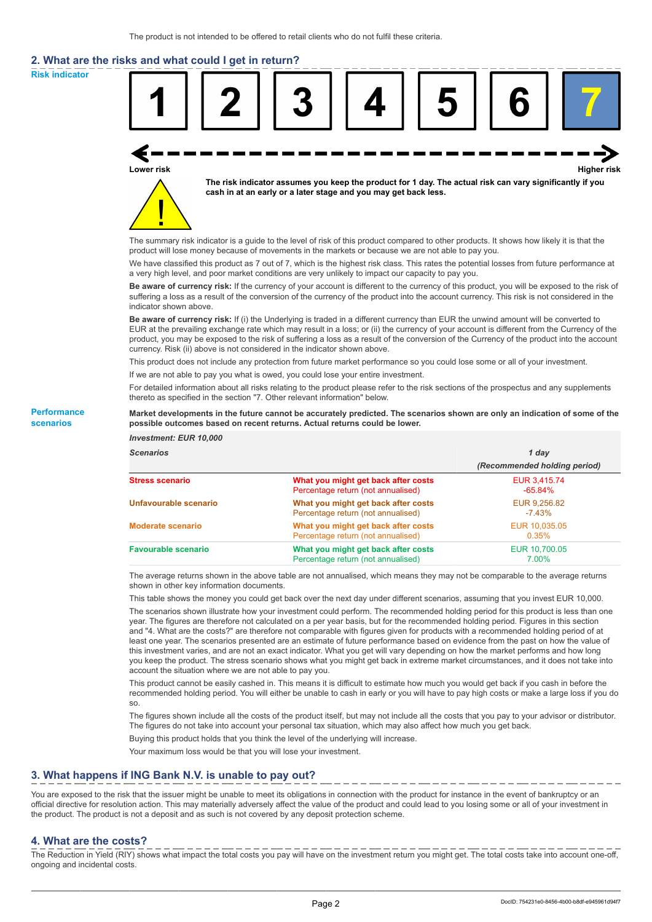# **2. What are the risks and what could I get in return?**

**Risk indicator**

**Performance scenarios**



thereto as specified in the section "7. Other relevant information" below.

#### **Market developments in the future cannot be accurately predicted. The scenarios shown are only an indication of some of the possible outcomes based on recent returns. Actual returns could be lower.**

| <b>Investment: EUR 10,000</b> |                                                                           |                              |
|-------------------------------|---------------------------------------------------------------------------|------------------------------|
| <b>Scenarios</b>              |                                                                           | 1 day                        |
|                               |                                                                           | (Recommended holding period) |
| <b>Stress scenario</b>        | What you might get back after costs<br>Percentage return (not annualised) | EUR 3,415.74<br>$-65.84%$    |
| Unfavourable scenario         | What you might get back after costs<br>Percentage return (not annualised) | EUR 9,256.82<br>$-7.43%$     |
| <b>Moderate scenario</b>      | What you might get back after costs<br>Percentage return (not annualised) | EUR 10,035.05<br>0.35%       |
| <b>Favourable scenario</b>    | What you might get back after costs<br>Percentage return (not annualised) | EUR 10.700.05<br>7.00%       |

The average returns shown in the above table are not annualised, which means they may not be comparable to the average returns shown in other key information documents.

This table shows the money you could get back over the next day under different scenarios, assuming that you invest EUR 10,000.

The scenarios shown illustrate how your investment could perform. The recommended holding period for this product is less than one year. The figures are therefore not calculated on a per year basis, but for the recommended holding period. Figures in this section and "4. What are the costs?" are therefore not comparable with figures given for products with a recommended holding period of at least one year. The scenarios presented are an estimate of future performance based on evidence from the past on how the value of this investment varies, and are not an exact indicator. What you get will vary depending on how the market performs and how long you keep the product. The stress scenario shows what you might get back in extreme market circumstances, and it does not take into account the situation where we are not able to pay you.

This product cannot be easily cashed in. This means it is difficult to estimate how much you would get back if you cash in before the recommended holding period. You will either be unable to cash in early or you will have to pay high costs or make a large loss if you do so.

The figures shown include all the costs of the product itself, but may not include all the costs that you pay to your advisor or distributor. The figures do not take into account your personal tax situation, which may also affect how much you get back.

Buying this product holds that you think the level of the underlying will increase.

Your maximum loss would be that you will lose your investment.

## **3. What happens if ING Bank N.V. is unable to pay out?**

You are exposed to the risk that the issuer might be unable to meet its obligations in connection with the product for instance in the event of bankruptcy or an official directive for resolution action. This may materially adversely affect the value of the product and could lead to you losing some or all of your investment in the product. The product is not a deposit and as such is not covered by any deposit protection scheme.

### **4. What are the costs?**

The Reduction in Yield (RIY) shows what impact the total costs you pay will have on the investment return you might get. The total costs take into account one-off, ongoing and incidental costs.